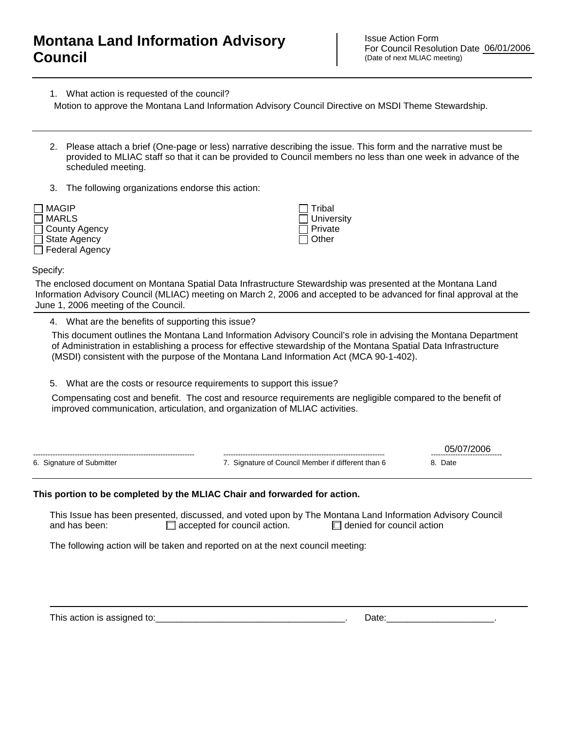## **Montana Land Information Advisory Council**

Issue Action Form For Council Resolution Date 06/01/2006 (Date of next MLIAC meeting)

1. What action is requested of the council?

Motion to approve the Montana Land Information Advisory Council Directive on MSDI Theme Stewardship.

- 2. Please attach a brief (One-page or less) narrative describing the issue. This form and the narrative must be provided to MLIAC staff so that it can be provided to Council members no less than one week in advance of the scheduled meeting.
- 3. The following organizations endorse this action:



 Tribal **University**  Private  $\Box$  Other

Specify:

The enclosed document on Montana Spatial Data Infrastructure Stewardship was presented at the Montana Land Information Advisory Council (MLIAC) meeting on March 2, 2006 and accepted to be advanced for final approval at the June 1, 2006 meeting of the Council.

4. What are the benefits of supporting this issue?

This document outlines the Montana Land Information Advisory Council's role in advising the Montana Department of Administration in establishing a process for effective stewardship of the Montana Spatial Data Infrastructure (MSDI) consistent with the purpose of the Montana Land Information Act (MCA 90-1-402).

5. What are the costs or resource requirements to support this issue?

Compensating cost and benefit. The cost and resource requirements are negligible compared to the benefit of improved communication, articulation, and organization of MLIAC activities.

|                           |                                                 | ------------------------------ |
|---------------------------|-------------------------------------------------|--------------------------------|
| 6. Signature of Submitter | Signature of Council Member if different than 6 | Date                           |

#### **This portion to be completed by the MLIAC Chair and forwarded for action.**

This Issue has been presented, discussed, and voted upon by The Montana Land Information Advisory Council and has been:  $\Box$  accepted for council action.  $\Box$  denied for council action

The following action will be taken and reported on at the next council meeting:

This action is assigned to:\_\_\_\_\_\_\_\_\_\_\_\_\_\_\_\_\_\_\_\_\_\_\_\_\_\_\_\_\_\_\_\_\_\_\_\_\_. Date:\_\_\_\_\_\_\_\_\_\_\_\_\_\_\_\_\_\_\_\_\_.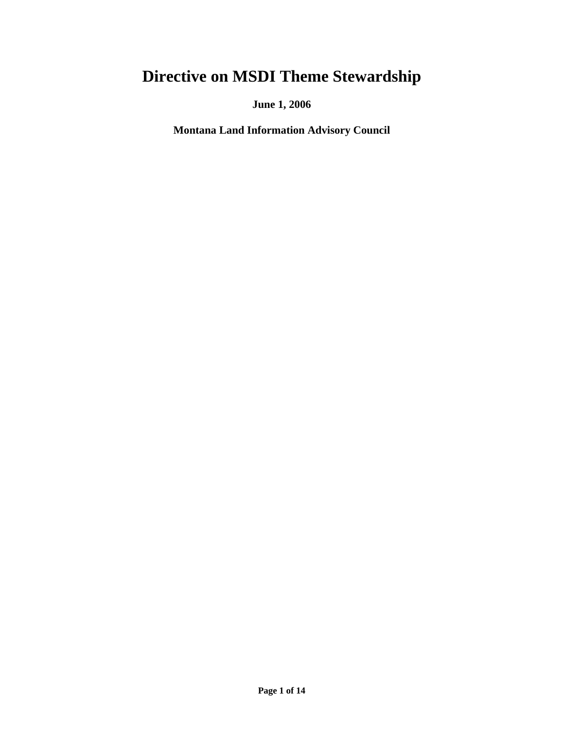# **Directive on MSDI Theme Stewardship**

**June 1, 2006** 

**Montana Land Information Advisory Council**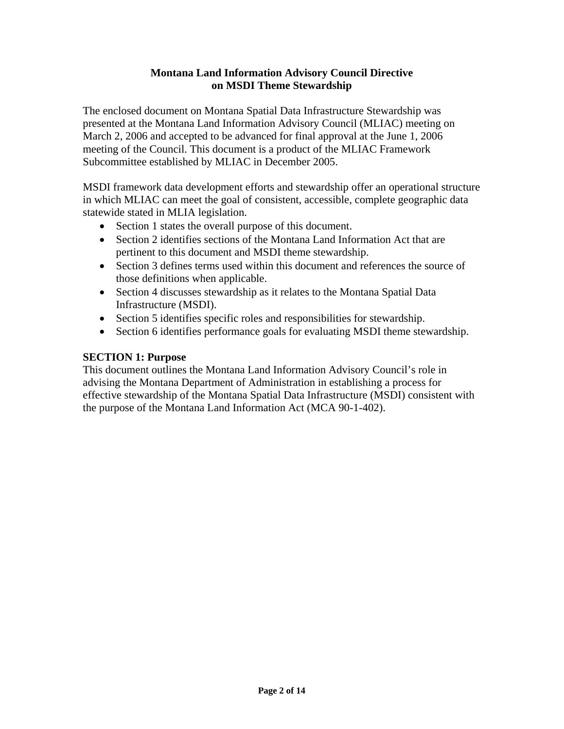#### **Montana Land Information Advisory Council Directive on MSDI Theme Stewardship**

The enclosed document on Montana Spatial Data Infrastructure Stewardship was presented at the Montana Land Information Advisory Council (MLIAC) meeting on March 2, 2006 and accepted to be advanced for final approval at the June 1, 2006 meeting of the Council. This document is a product of the MLIAC Framework Subcommittee established by MLIAC in December 2005.

MSDI framework data development efforts and stewardship offer an operational structure in which MLIAC can meet the goal of consistent, accessible, complete geographic data statewide stated in MLIA legislation.

- Section 1 states the overall purpose of this document.
- Section 2 identifies sections of the Montana Land Information Act that are pertinent to this document and MSDI theme stewardship.
- Section 3 defines terms used within this document and references the source of those definitions when applicable.
- Section 4 discusses stewardship as it relates to the Montana Spatial Data Infrastructure (MSDI).
- Section 5 identifies specific roles and responsibilities for stewardship.
- Section 6 identifies performance goals for evaluating MSDI theme stewardship.

### **SECTION 1: Purpose**

This document outlines the Montana Land Information Advisory Council's role in advising the Montana Department of Administration in establishing a process for effective stewardship of the Montana Spatial Data Infrastructure (MSDI) consistent with the purpose of the Montana Land Information Act (MCA 90-1-402).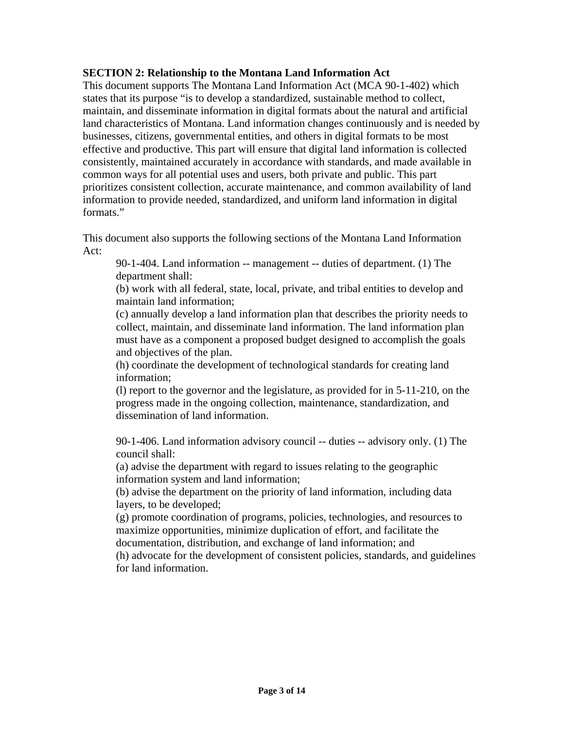#### **SECTION 2: Relationship to the Montana Land Information Act**

This document supports The Montana Land Information Act (MCA 90-1-402) which states that its purpose "is to develop a standardized, sustainable method to collect, maintain, and disseminate information in digital formats about the natural and artificial land characteristics of Montana. Land information changes continuously and is needed by businesses, citizens, governmental entities, and others in digital formats to be most effective and productive. This part will ensure that digital land information is collected consistently, maintained accurately in accordance with standards, and made available in common ways for all potential uses and users, both private and public. This part prioritizes consistent collection, accurate maintenance, and common availability of land information to provide needed, standardized, and uniform land information in digital formats."

This document also supports the following sections of the Montana Land Information Act:

90-1-404. Land information -- management -- duties of department. (1) The department shall:

(b) work with all federal, state, local, private, and tribal entities to develop and maintain land information;

(c) annually develop a land information plan that describes the priority needs to collect, maintain, and disseminate land information. The land information plan must have as a component a proposed budget designed to accomplish the goals and objectives of the plan.

(h) coordinate the development of technological standards for creating land information;

(l) report to the governor and the legislature, as provided for in 5-11-210, on the progress made in the ongoing collection, maintenance, standardization, and dissemination of land information.

90-1-406. Land information advisory council -- duties -- advisory only. (1) The council shall:

(a) advise the department with regard to issues relating to the geographic information system and land information;

(b) advise the department on the priority of land information, including data layers, to be developed;

(g) promote coordination of programs, policies, technologies, and resources to maximize opportunities, minimize duplication of effort, and facilitate the documentation, distribution, and exchange of land information; and

(h) advocate for the development of consistent policies, standards, and guidelines for land information.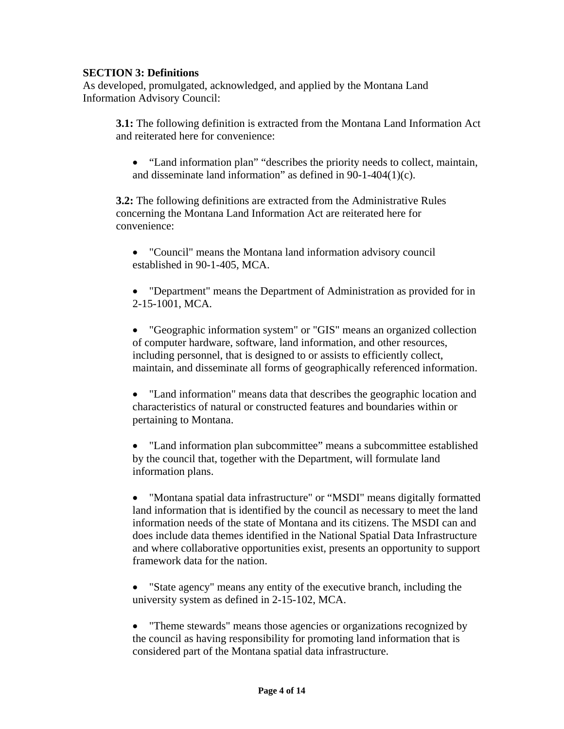#### **SECTION 3: Definitions**

As developed, promulgated, acknowledged, and applied by the Montana Land Information Advisory Council:

**3.1:** The following definition is extracted from the Montana Land Information Act and reiterated here for convenience:

• "Land information plan" "describes the priority needs to collect, maintain, and disseminate land information" as defined in 90-1-404(1)(c).

**3.2:** The following definitions are extracted from the Administrative Rules concerning the Montana Land Information Act are reiterated here for convenience:

- "Council" means the Montana land information advisory council established in 90-1-405, MCA.
- "Department" means the Department of Administration as provided for in 2-15-1001, MCA.

• "Geographic information system" or "GIS" means an organized collection of computer hardware, software, land information, and other resources, including personnel, that is designed to or assists to efficiently collect, maintain, and disseminate all forms of geographically referenced information.

• "Land information" means data that describes the geographic location and characteristics of natural or constructed features and boundaries within or pertaining to Montana.

• "Land information plan subcommittee" means a subcommittee established by the council that, together with the Department, will formulate land information plans.

• "Montana spatial data infrastructure" or "MSDI" means digitally formatted land information that is identified by the council as necessary to meet the land information needs of the state of Montana and its citizens. The MSDI can and does include data themes identified in the National Spatial Data Infrastructure and where collaborative opportunities exist, presents an opportunity to support framework data for the nation.

- "State agency" means any entity of the executive branch, including the university system as defined in 2-15-102, MCA.
- "Theme stewards" means those agencies or organizations recognized by the council as having responsibility for promoting land information that is considered part of the Montana spatial data infrastructure.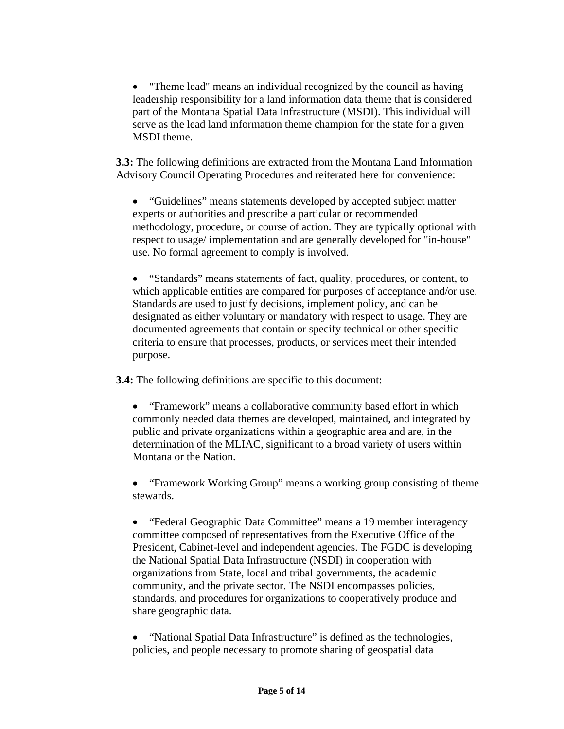• "Theme lead" means an individual recognized by the council as having leadership responsibility for a land information data theme that is considered part of the Montana Spatial Data Infrastructure (MSDI). This individual will serve as the lead land information theme champion for the state for a given MSDI theme.

**3.3:** The following definitions are extracted from the Montana Land Information Advisory Council Operating Procedures and reiterated here for convenience:

• "Guidelines" means statements developed by accepted subject matter experts or authorities and prescribe a particular or recommended methodology, procedure, or course of action. They are typically optional with respect to usage/ implementation and are generally developed for "in-house" use. No formal agreement to comply is involved.

• "Standards" means statements of fact, quality, procedures, or content, to which applicable entities are compared for purposes of acceptance and/or use. Standards are used to justify decisions, implement policy, and can be designated as either voluntary or mandatory with respect to usage. They are documented agreements that contain or specify technical or other specific criteria to ensure that processes, products, or services meet their intended purpose.

**3.4:** The following definitions are specific to this document:

• "Framework" means a collaborative community based effort in which commonly needed data themes are developed, maintained, and integrated by public and private organizations within a geographic area and are, in the determination of the MLIAC, significant to a broad variety of users within Montana or the Nation.

• "Framework Working Group" means a working group consisting of theme stewards.

• "Federal Geographic Data Committee" means a 19 member interagency committee composed of representatives from the Executive Office of the President, Cabinet-level and independent agencies. The FGDC is developing the National Spatial Data Infrastructure (NSDI) in cooperation with organizations from State, local and tribal governments, the academic community, and the private sector. The NSDI encompasses policies, standards, and procedures for organizations to cooperatively produce and share geographic data.

• "National Spatial Data Infrastructure" is defined as the technologies, policies, and people necessary to promote sharing of geospatial data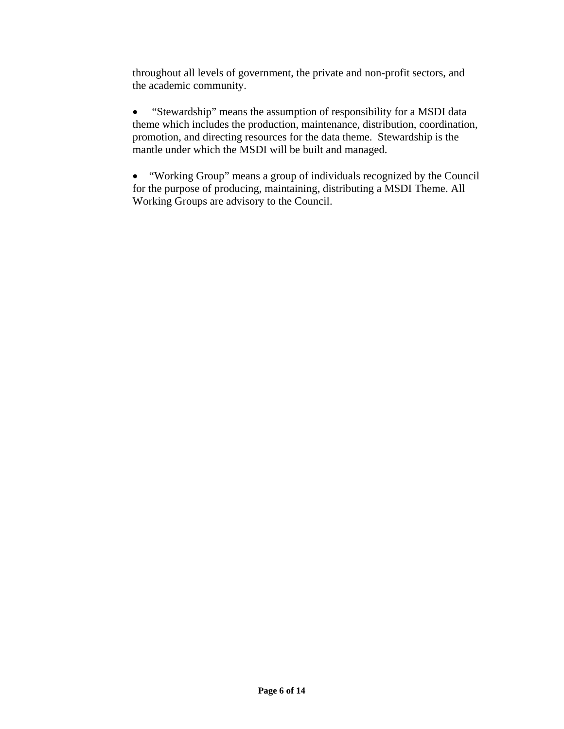throughout all levels of government, the private and non-profit sectors, and the academic community.

• "Stewardship" means the assumption of responsibility for a MSDI data theme which includes the production, maintenance, distribution, coordination, promotion, and directing resources for the data theme. Stewardship is the mantle under which the MSDI will be built and managed.

• "Working Group" means a group of individuals recognized by the Council for the purpose of producing, maintaining, distributing a MSDI Theme. All Working Groups are advisory to the Council.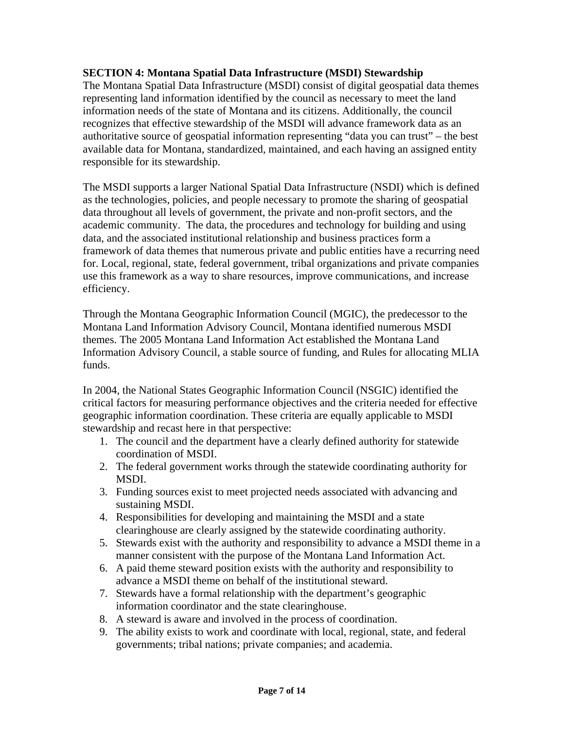#### **SECTION 4: Montana Spatial Data Infrastructure (MSDI) Stewardship**

The Montana Spatial Data Infrastructure (MSDI) consist of digital geospatial data themes representing land information identified by the council as necessary to meet the land information needs of the state of Montana and its citizens. Additionally, the council recognizes that effective stewardship of the MSDI will advance framework data as an authoritative source of geospatial information representing "data you can trust" – the best available data for Montana, standardized, maintained, and each having an assigned entity responsible for its stewardship.

The MSDI supports a larger National Spatial Data Infrastructure (NSDI) which is defined as the technologies, policies, and people necessary to promote the sharing of geospatial data throughout all levels of government, the private and non-profit sectors, and the academic community. The data, the procedures and technology for building and using data, and the associated institutional relationship and business practices form a framework of data themes that numerous private and public entities have a recurring need for. Local, regional, state, federal government, tribal organizations and private companies use this framework as a way to share resources, improve communications, and increase efficiency.

Through the Montana Geographic Information Council (MGIC), the predecessor to the Montana Land Information Advisory Council, Montana identified numerous MSDI themes. The 2005 Montana Land Information Act established the Montana Land Information Advisory Council, a stable source of funding, and Rules for allocating MLIA funds.

In 2004, the National States Geographic Information Council (NSGIC) identified the critical factors for measuring performance objectives and the criteria needed for effective geographic information coordination. These criteria are equally applicable to MSDI stewardship and recast here in that perspective:

- 1. The council and the department have a clearly defined authority for statewide coordination of MSDI.
- 2. The federal government works through the statewide coordinating authority for MSDI.
- 3. Funding sources exist to meet projected needs associated with advancing and sustaining MSDI.
- 4. Responsibilities for developing and maintaining the MSDI and a state clearinghouse are clearly assigned by the statewide coordinating authority.
- 5. Stewards exist with the authority and responsibility to advance a MSDI theme in a manner consistent with the purpose of the Montana Land Information Act.
- 6. A paid theme steward position exists with the authority and responsibility to advance a MSDI theme on behalf of the institutional steward.
- 7. Stewards have a formal relationship with the department's geographic information coordinator and the state clearinghouse.
- 8. A steward is aware and involved in the process of coordination.
- 9. The ability exists to work and coordinate with local, regional, state, and federal governments; tribal nations; private companies; and academia.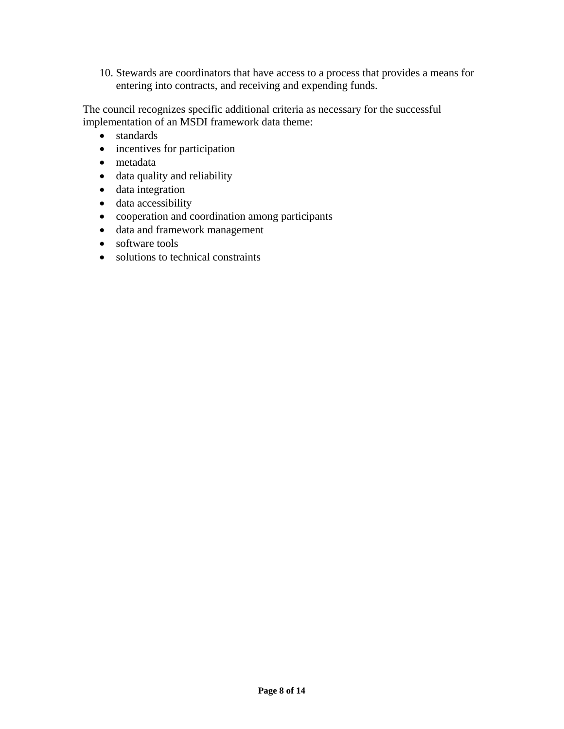10. Stewards are coordinators that have access to a process that provides a means for entering into contracts, and receiving and expending funds.

The council recognizes specific additional criteria as necessary for the successful implementation of an MSDI framework data theme:

- standards
- incentives for participation
- metadata
- data quality and reliability
- data integration
- data accessibility
- cooperation and coordination among participants
- data and framework management
- software tools
- solutions to technical constraints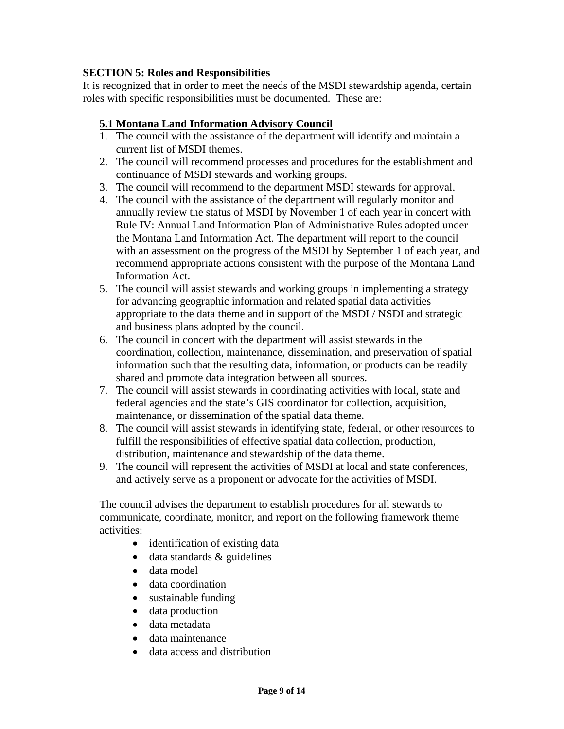#### **SECTION 5: Roles and Responsibilities**

It is recognized that in order to meet the needs of the MSDI stewardship agenda, certain roles with specific responsibilities must be documented. These are:

### **5.1 Montana Land Information Advisory Council**

- 1. The council with the assistance of the department will identify and maintain a current list of MSDI themes.
- 2. The council will recommend processes and procedures for the establishment and continuance of MSDI stewards and working groups.
- 3. The council will recommend to the department MSDI stewards for approval.
- 4. The council with the assistance of the department will regularly monitor and annually review the status of MSDI by November 1 of each year in concert with Rule IV: Annual Land Information Plan of Administrative Rules adopted under the Montana Land Information Act. The department will report to the council with an assessment on the progress of the MSDI by September 1 of each year, and recommend appropriate actions consistent with the purpose of the Montana Land Information Act.
- 5. The council will assist stewards and working groups in implementing a strategy for advancing geographic information and related spatial data activities appropriate to the data theme and in support of the MSDI / NSDI and strategic and business plans adopted by the council.
- 6. The council in concert with the department will assist stewards in the coordination, collection, maintenance, dissemination, and preservation of spatial information such that the resulting data, information, or products can be readily shared and promote data integration between all sources.
- 7. The council will assist stewards in coordinating activities with local, state and federal agencies and the state's GIS coordinator for collection, acquisition, maintenance, or dissemination of the spatial data theme.
- 8. The council will assist stewards in identifying state, federal, or other resources to fulfill the responsibilities of effective spatial data collection, production, distribution, maintenance and stewardship of the data theme.
- 9. The council will represent the activities of MSDI at local and state conferences, and actively serve as a proponent or advocate for the activities of MSDI.

The council advises the department to establish procedures for all stewards to communicate, coordinate, monitor, and report on the following framework theme activities:

- identification of existing data
- data standards & guidelines
- data model
- data coordination
- sustainable funding
- data production
- data metadata
- data maintenance
- data access and distribution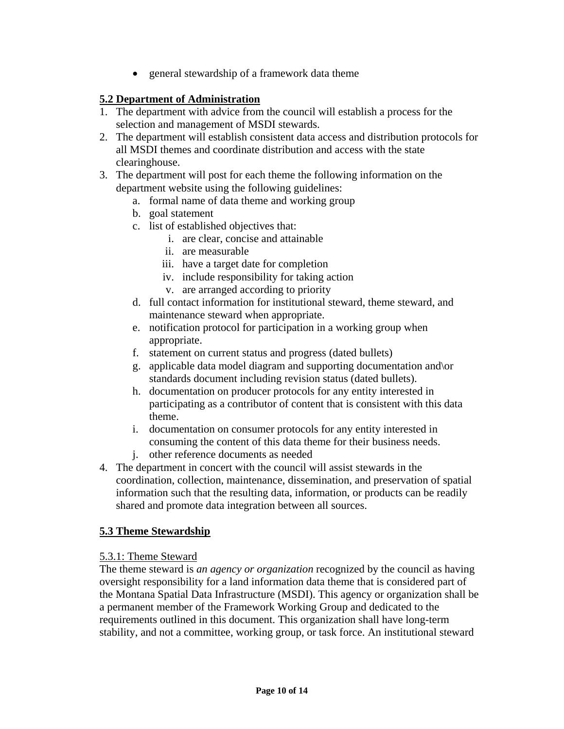• general stewardship of a framework data theme

#### **5.2 Department of Administration**

- 1. The department with advice from the council will establish a process for the selection and management of MSDI stewards.
- 2. The department will establish consistent data access and distribution protocols for all MSDI themes and coordinate distribution and access with the state clearinghouse.
- 3. The department will post for each theme the following information on the department website using the following guidelines:
	- a. formal name of data theme and working group
	- b. goal statement
	- c. list of established objectives that:
		- i. are clear, concise and attainable
		- ii. are measurable
		- iii. have a target date for completion
		- iv. include responsibility for taking action
		- v. are arranged according to priority
	- d. full contact information for institutional steward, theme steward, and maintenance steward when appropriate.
	- e. notification protocol for participation in a working group when appropriate.
	- f. statement on current status and progress (dated bullets)
	- g. applicable data model diagram and supporting documentation and\or standards document including revision status (dated bullets).
	- h. documentation on producer protocols for any entity interested in participating as a contributor of content that is consistent with this data theme.
	- i. documentation on consumer protocols for any entity interested in consuming the content of this data theme for their business needs.
	- j. other reference documents as needed
- 4. The department in concert with the council will assist stewards in the coordination, collection, maintenance, dissemination, and preservation of spatial information such that the resulting data, information, or products can be readily shared and promote data integration between all sources.

#### **5.3 Theme Stewardship**

#### 5.3.1: Theme Steward

The theme steward is *an agency or organization* recognized by the council as having oversight responsibility for a land information data theme that is considered part of the Montana Spatial Data Infrastructure (MSDI). This agency or organization shall be a permanent member of the Framework Working Group and dedicated to the requirements outlined in this document. This organization shall have long-term stability, and not a committee, working group, or task force. An institutional steward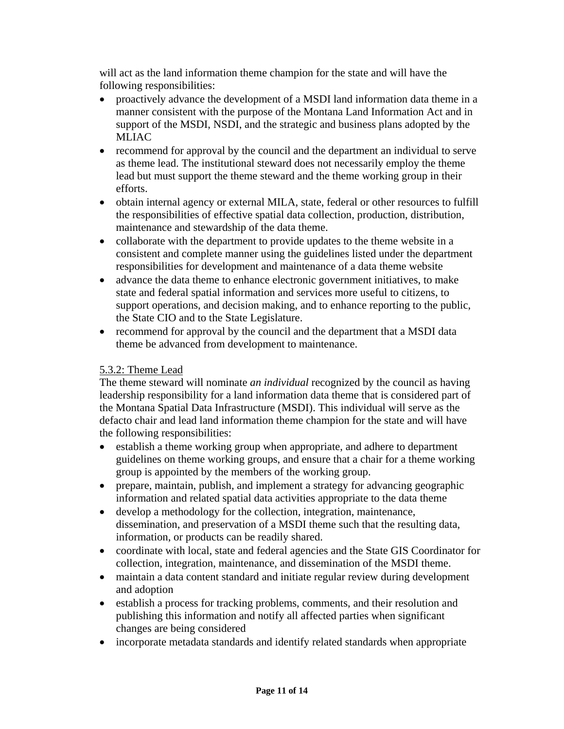will act as the land information theme champion for the state and will have the following responsibilities:

- proactively advance the development of a MSDI land information data theme in a manner consistent with the purpose of the Montana Land Information Act and in support of the MSDI, NSDI, and the strategic and business plans adopted by the MLIAC
- recommend for approval by the council and the department an individual to serve as theme lead. The institutional steward does not necessarily employ the theme lead but must support the theme steward and the theme working group in their efforts.
- obtain internal agency or external MILA, state, federal or other resources to fulfill the responsibilities of effective spatial data collection, production, distribution, maintenance and stewardship of the data theme.
- collaborate with the department to provide updates to the theme website in a consistent and complete manner using the guidelines listed under the department responsibilities for development and maintenance of a data theme website
- advance the data theme to enhance electronic government initiatives, to make state and federal spatial information and services more useful to citizens, to support operations, and decision making, and to enhance reporting to the public, the State CIO and to the State Legislature.
- recommend for approval by the council and the department that a MSDI data theme be advanced from development to maintenance.

#### 5.3.2: Theme Lead

The theme steward will nominate *an individual* recognized by the council as having leadership responsibility for a land information data theme that is considered part of the Montana Spatial Data Infrastructure (MSDI). This individual will serve as the defacto chair and lead land information theme champion for the state and will have the following responsibilities:

- establish a theme working group when appropriate, and adhere to department guidelines on theme working groups, and ensure that a chair for a theme working group is appointed by the members of the working group.
- prepare, maintain, publish, and implement a strategy for advancing geographic information and related spatial data activities appropriate to the data theme
- develop a methodology for the collection, integration, maintenance, dissemination, and preservation of a MSDI theme such that the resulting data, information, or products can be readily shared.
- coordinate with local, state and federal agencies and the State GIS Coordinator for collection, integration, maintenance, and dissemination of the MSDI theme.
- maintain a data content standard and initiate regular review during development and adoption
- establish a process for tracking problems, comments, and their resolution and publishing this information and notify all affected parties when significant changes are being considered
- incorporate metadata standards and identify related standards when appropriate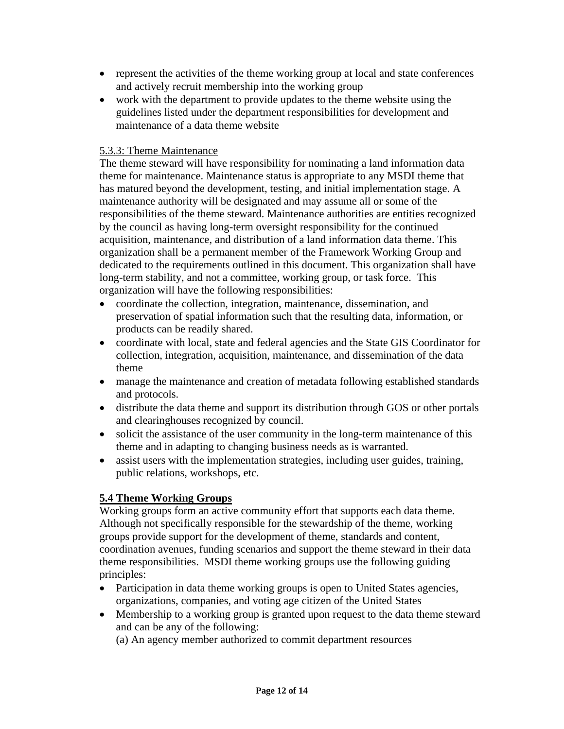- represent the activities of the theme working group at local and state conferences and actively recruit membership into the working group
- work with the department to provide updates to the theme website using the guidelines listed under the department responsibilities for development and maintenance of a data theme website

#### 5.3.3: Theme Maintenance

The theme steward will have responsibility for nominating a land information data theme for maintenance. Maintenance status is appropriate to any MSDI theme that has matured beyond the development, testing, and initial implementation stage. A maintenance authority will be designated and may assume all or some of the responsibilities of the theme steward. Maintenance authorities are entities recognized by the council as having long-term oversight responsibility for the continued acquisition, maintenance, and distribution of a land information data theme. This organization shall be a permanent member of the Framework Working Group and dedicated to the requirements outlined in this document. This organization shall have long-term stability, and not a committee, working group, or task force. This organization will have the following responsibilities:

- coordinate the collection, integration, maintenance, dissemination, and preservation of spatial information such that the resulting data, information, or products can be readily shared.
- coordinate with local, state and federal agencies and the State GIS Coordinator for collection, integration, acquisition, maintenance, and dissemination of the data theme
- manage the maintenance and creation of metadata following established standards and protocols.
- distribute the data theme and support its distribution through GOS or other portals and clearinghouses recognized by council.
- solicit the assistance of the user community in the long-term maintenance of this theme and in adapting to changing business needs as is warranted.
- assist users with the implementation strategies, including user guides, training, public relations, workshops, etc.

#### **5.4 Theme Working Groups**

Working groups form an active community effort that supports each data theme. Although not specifically responsible for the stewardship of the theme, working groups provide support for the development of theme, standards and content, coordination avenues, funding scenarios and support the theme steward in their data theme responsibilities. MSDI theme working groups use the following guiding principles:

- Participation in data theme working groups is open to United States agencies, organizations, companies, and voting age citizen of the United States
- Membership to a working group is granted upon request to the data theme steward and can be any of the following:

(a) An agency member authorized to commit department resources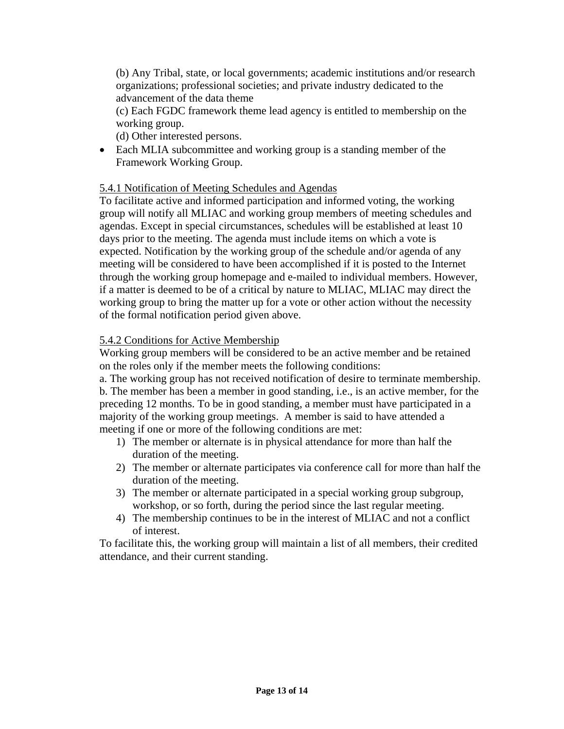(b) Any Tribal, state, or local governments; academic institutions and/or research organizations; professional societies; and private industry dedicated to the advancement of the data theme

(c) Each FGDC framework theme lead agency is entitled to membership on the working group.

(d) Other interested persons.

• Each MLIA subcommittee and working group is a standing member of the Framework Working Group.

#### 5.4.1 Notification of Meeting Schedules and Agendas

To facilitate active and informed participation and informed voting, the working group will notify all MLIAC and working group members of meeting schedules and agendas. Except in special circumstances, schedules will be established at least 10 days prior to the meeting. The agenda must include items on which a vote is expected. Notification by the working group of the schedule and/or agenda of any meeting will be considered to have been accomplished if it is posted to the Internet through the working group homepage and e-mailed to individual members. However, if a matter is deemed to be of a critical by nature to MLIAC, MLIAC may direct the working group to bring the matter up for a vote or other action without the necessity of the formal notification period given above.

#### 5.4.2 Conditions for Active Membership

Working group members will be considered to be an active member and be retained on the roles only if the member meets the following conditions:

a. The working group has not received notification of desire to terminate membership. b. The member has been a member in good standing, i.e., is an active member, for the preceding 12 months. To be in good standing, a member must have participated in a majority of the working group meetings. A member is said to have attended a meeting if one or more of the following conditions are met:

- 1) The member or alternate is in physical attendance for more than half the duration of the meeting.
- 2) The member or alternate participates via conference call for more than half the duration of the meeting.
- 3) The member or alternate participated in a special working group subgroup, workshop, or so forth, during the period since the last regular meeting.
- 4) The membership continues to be in the interest of MLIAC and not a conflict of interest.

To facilitate this, the working group will maintain a list of all members, their credited attendance, and their current standing.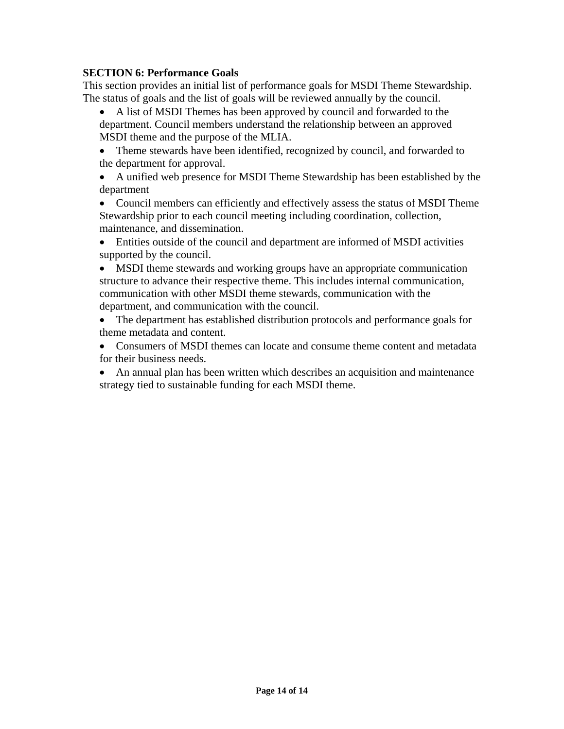#### **SECTION 6: Performance Goals**

This section provides an initial list of performance goals for MSDI Theme Stewardship. The status of goals and the list of goals will be reviewed annually by the council.

• A list of MSDI Themes has been approved by council and forwarded to the department. Council members understand the relationship between an approved MSDI theme and the purpose of the MLIA.

• Theme stewards have been identified, recognized by council, and forwarded to the department for approval.

• A unified web presence for MSDI Theme Stewardship has been established by the department

• Council members can efficiently and effectively assess the status of MSDI Theme Stewardship prior to each council meeting including coordination, collection, maintenance, and dissemination.

• Entities outside of the council and department are informed of MSDI activities supported by the council.

• MSDI theme stewards and working groups have an appropriate communication structure to advance their respective theme. This includes internal communication, communication with other MSDI theme stewards, communication with the department, and communication with the council.

• The department has established distribution protocols and performance goals for theme metadata and content.

- Consumers of MSDI themes can locate and consume theme content and metadata for their business needs.
- An annual plan has been written which describes an acquisition and maintenance strategy tied to sustainable funding for each MSDI theme.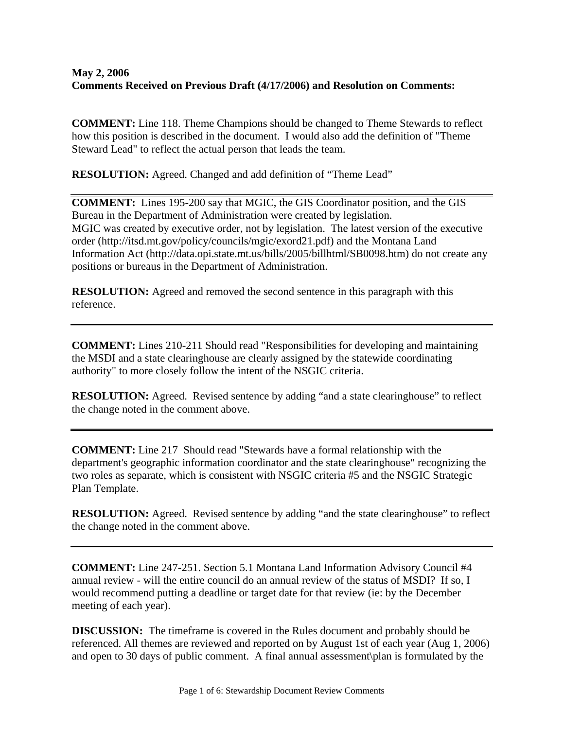#### **May 2, 2006 Comments Received on Previous Draft (4/17/2006) and Resolution on Comments:**

**COMMENT:** Line 118. Theme Champions should be changed to Theme Stewards to reflect how this position is described in the document. I would also add the definition of "Theme Steward Lead" to reflect the actual person that leads the team.

**RESOLUTION:** Agreed. Changed and add definition of "Theme Lead"

**COMMENT:** Lines 195-200 say that MGIC, the GIS Coordinator position, and the GIS Bureau in the Department of Administration were created by legislation. MGIC was created by executive order, not by legislation. The latest version of the executive order (http://itsd.mt.gov/policy/councils/mgic/exord21.pdf) and the Montana Land Information Act (http://data.opi.state.mt.us/bills/2005/billhtml/SB0098.htm) do not create any positions or bureaus in the Department of Administration.

**RESOLUTION:** Agreed and removed the second sentence in this paragraph with this reference.

**COMMENT:** Lines 210-211 Should read "Responsibilities for developing and maintaining the MSDI and a state clearinghouse are clearly assigned by the statewide coordinating authority" to more closely follow the intent of the NSGIC criteria.

**RESOLUTION:** Agreed. Revised sentence by adding "and a state clearinghouse" to reflect the change noted in the comment above.

**COMMENT:** Line 217 Should read "Stewards have a formal relationship with the department's geographic information coordinator and the state clearinghouse" recognizing the two roles as separate, which is consistent with NSGIC criteria #5 and the NSGIC Strategic Plan Template.

**RESOLUTION:** Agreed. Revised sentence by adding "and the state clearinghouse" to reflect the change noted in the comment above.

**COMMENT:** Line 247-251. Section 5.1 Montana Land Information Advisory Council #4 annual review - will the entire council do an annual review of the status of MSDI? If so, I would recommend putting a deadline or target date for that review (ie: by the December meeting of each year).

**DISCUSSION:** The timeframe is covered in the Rules document and probably should be referenced. All themes are reviewed and reported on by August 1st of each year (Aug 1, 2006) and open to 30 days of public comment. A final annual assessment\plan is formulated by the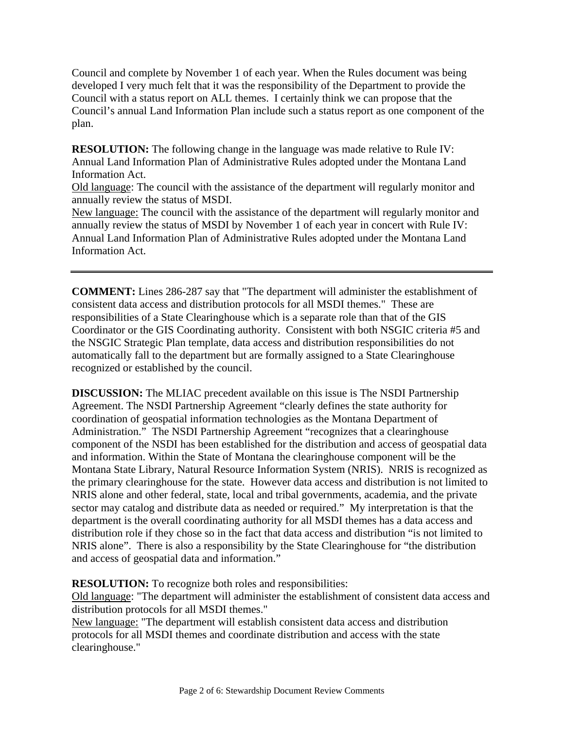Council and complete by November 1 of each year. When the Rules document was being developed I very much felt that it was the responsibility of the Department to provide the Council with a status report on ALL themes. I certainly think we can propose that the Council's annual Land Information Plan include such a status report as one component of the plan.

**RESOLUTION:** The following change in the language was made relative to Rule IV: Annual Land Information Plan of Administrative Rules adopted under the Montana Land Information Act.

Old language: The council with the assistance of the department will regularly monitor and annually review the status of MSDI.

New language: The council with the assistance of the department will regularly monitor and annually review the status of MSDI by November 1 of each year in concert with Rule IV: Annual Land Information Plan of Administrative Rules adopted under the Montana Land Information Act.

**COMMENT:** Lines 286-287 say that "The department will administer the establishment of consistent data access and distribution protocols for all MSDI themes." These are responsibilities of a State Clearinghouse which is a separate role than that of the GIS Coordinator or the GIS Coordinating authority. Consistent with both NSGIC criteria #5 and the NSGIC Strategic Plan template, data access and distribution responsibilities do not automatically fall to the department but are formally assigned to a State Clearinghouse recognized or established by the council.

**DISCUSSION:** The MLIAC precedent available on this issue is The NSDI Partnership Agreement. The NSDI Partnership Agreement "clearly defines the state authority for coordination of geospatial information technologies as the Montana Department of Administration." The NSDI Partnership Agreement "recognizes that a clearinghouse component of the NSDI has been established for the distribution and access of geospatial data and information. Within the State of Montana the clearinghouse component will be the Montana State Library, Natural Resource Information System (NRIS). NRIS is recognized as the primary clearinghouse for the state. However data access and distribution is not limited to NRIS alone and other federal, state, local and tribal governments, academia, and the private sector may catalog and distribute data as needed or required." My interpretation is that the department is the overall coordinating authority for all MSDI themes has a data access and distribution role if they chose so in the fact that data access and distribution "is not limited to NRIS alone". There is also a responsibility by the State Clearinghouse for "the distribution and access of geospatial data and information."

**RESOLUTION:** To recognize both roles and responsibilities:

Old language: "The department will administer the establishment of consistent data access and distribution protocols for all MSDI themes."

New language: "The department will establish consistent data access and distribution protocols for all MSDI themes and coordinate distribution and access with the state clearinghouse."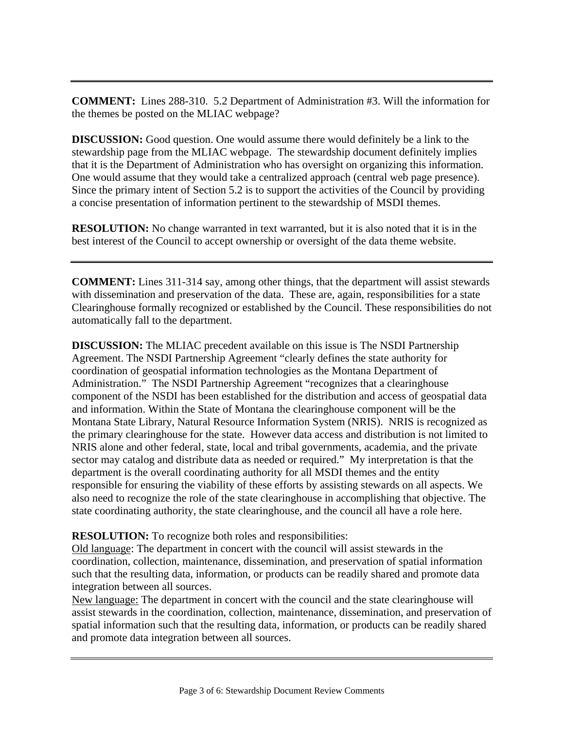**COMMENT:** Lines 288-310. 5.2 Department of Administration #3. Will the information for the themes be posted on the MLIAC webpage?

**DISCUSSION:** Good question. One would assume there would definitely be a link to the stewardship page from the MLIAC webpage. The stewardship document definitely implies that it is the Department of Administration who has oversight on organizing this information. One would assume that they would take a centralized approach (central web page presence). Since the primary intent of Section 5.2 is to support the activities of the Council by providing a concise presentation of information pertinent to the stewardship of MSDI themes.

**RESOLUTION:** No change warranted in text warranted, but it is also noted that it is in the best interest of the Council to accept ownership or oversight of the data theme website.

**COMMENT:** Lines 311-314 say, among other things, that the department will assist stewards with dissemination and preservation of the data. These are, again, responsibilities for a state Clearinghouse formally recognized or established by the Council. These responsibilities do not automatically fall to the department.

**DISCUSSION:** The MLIAC precedent available on this issue is The NSDI Partnership Agreement. The NSDI Partnership Agreement "clearly defines the state authority for coordination of geospatial information technologies as the Montana Department of Administration." The NSDI Partnership Agreement "recognizes that a clearinghouse component of the NSDI has been established for the distribution and access of geospatial data and information. Within the State of Montana the clearinghouse component will be the Montana State Library, Natural Resource Information System (NRIS). NRIS is recognized as the primary clearinghouse for the state. However data access and distribution is not limited to NRIS alone and other federal, state, local and tribal governments, academia, and the private sector may catalog and distribute data as needed or required." My interpretation is that the department is the overall coordinating authority for all MSDI themes and the entity responsible for ensuring the viability of these efforts by assisting stewards on all aspects. We also need to recognize the role of the state clearinghouse in accomplishing that objective. The state coordinating authority, the state clearinghouse, and the council all have a role here.

#### **RESOLUTION:** To recognize both roles and responsibilities:

Old language: The department in concert with the council will assist stewards in the coordination, collection, maintenance, dissemination, and preservation of spatial information such that the resulting data, information, or products can be readily shared and promote data integration between all sources.

New language: The department in concert with the council and the state clearinghouse will assist stewards in the coordination, collection, maintenance, dissemination, and preservation of spatial information such that the resulting data, information, or products can be readily shared and promote data integration between all sources.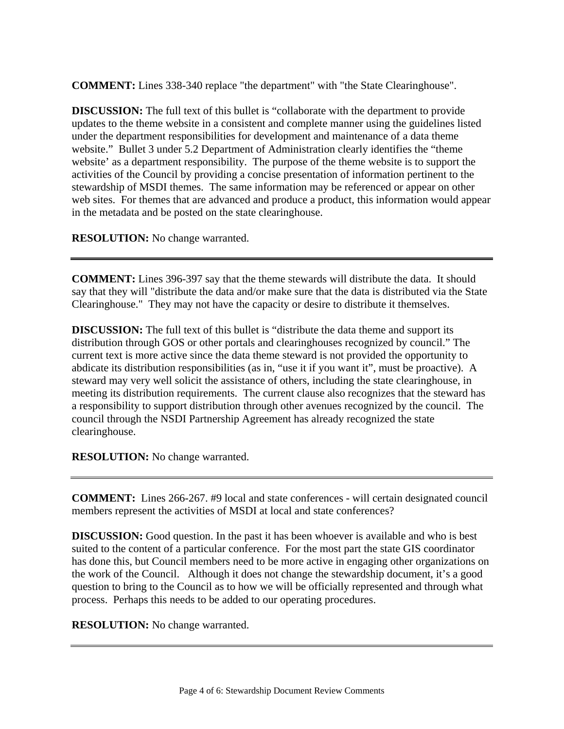**COMMENT:** Lines 338-340 replace "the department" with "the State Clearinghouse".

**DISCUSSION:** The full text of this bullet is "collaborate with the department to provide updates to the theme website in a consistent and complete manner using the guidelines listed under the department responsibilities for development and maintenance of a data theme website." Bullet 3 under 5.2 Department of Administration clearly identifies the "theme" website' as a department responsibility. The purpose of the theme website is to support the activities of the Council by providing a concise presentation of information pertinent to the stewardship of MSDI themes. The same information may be referenced or appear on other web sites. For themes that are advanced and produce a product, this information would appear in the metadata and be posted on the state clearinghouse.

**RESOLUTION:** No change warranted.

**COMMENT:** Lines 396-397 say that the theme stewards will distribute the data. It should say that they will "distribute the data and/or make sure that the data is distributed via the State Clearinghouse." They may not have the capacity or desire to distribute it themselves.

**DISCUSSION:** The full text of this bullet is "distribute the data theme and support its distribution through GOS or other portals and clearinghouses recognized by council." The current text is more active since the data theme steward is not provided the opportunity to abdicate its distribution responsibilities (as in, "use it if you want it", must be proactive). A steward may very well solicit the assistance of others, including the state clearinghouse, in meeting its distribution requirements. The current clause also recognizes that the steward has a responsibility to support distribution through other avenues recognized by the council. The council through the NSDI Partnership Agreement has already recognized the state clearinghouse.

**RESOLUTION:** No change warranted.

**COMMENT:** Lines 266-267. #9 local and state conferences - will certain designated council members represent the activities of MSDI at local and state conferences?

**DISCUSSION:** Good question. In the past it has been whoever is available and who is best suited to the content of a particular conference. For the most part the state GIS coordinator has done this, but Council members need to be more active in engaging other organizations on the work of the Council. Although it does not change the stewardship document, it's a good question to bring to the Council as to how we will be officially represented and through what process. Perhaps this needs to be added to our operating procedures.

**RESOLUTION:** No change warranted.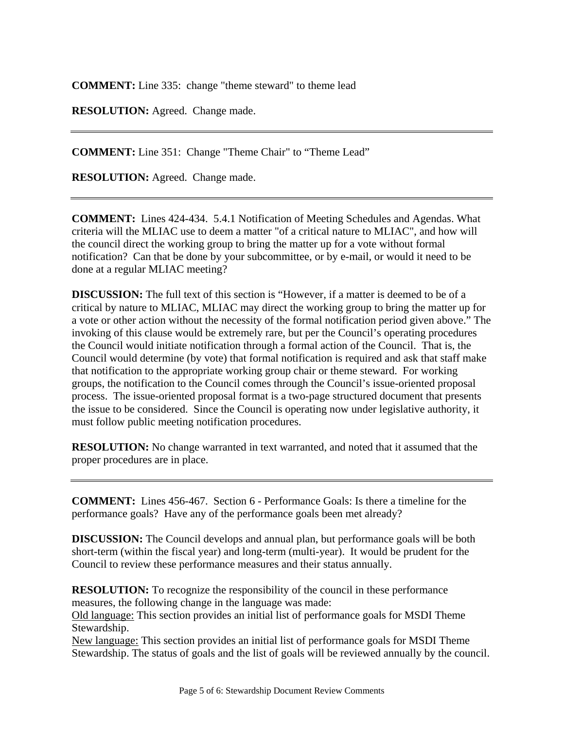**COMMENT:** Line 335: change "theme steward" to theme lead

**RESOLUTION:** Agreed. Change made.

**COMMENT:** Line 351: Change "Theme Chair" to "Theme Lead"

**RESOLUTION:** Agreed. Change made.

**COMMENT:** Lines 424-434. 5.4.1 Notification of Meeting Schedules and Agendas. What criteria will the MLIAC use to deem a matter "of a critical nature to MLIAC", and how will the council direct the working group to bring the matter up for a vote without formal notification? Can that be done by your subcommittee, or by e-mail, or would it need to be done at a regular MLIAC meeting?

**DISCUSSION:** The full text of this section is "However, if a matter is deemed to be of a critical by nature to MLIAC, MLIAC may direct the working group to bring the matter up for a vote or other action without the necessity of the formal notification period given above." The invoking of this clause would be extremely rare, but per the Council's operating procedures the Council would initiate notification through a formal action of the Council. That is, the Council would determine (by vote) that formal notification is required and ask that staff make that notification to the appropriate working group chair or theme steward. For working groups, the notification to the Council comes through the Council's issue-oriented proposal process. The issue-oriented proposal format is a two-page structured document that presents the issue to be considered. Since the Council is operating now under legislative authority, it must follow public meeting notification procedures.

**RESOLUTION:** No change warranted in text warranted, and noted that it assumed that the proper procedures are in place.

**COMMENT:** Lines 456-467. Section 6 - Performance Goals: Is there a timeline for the performance goals? Have any of the performance goals been met already?

**DISCUSSION:** The Council develops and annual plan, but performance goals will be both short-term (within the fiscal year) and long-term (multi-year). It would be prudent for the Council to review these performance measures and their status annually.

**RESOLUTION:** To recognize the responsibility of the council in these performance measures, the following change in the language was made:

Old language: This section provides an initial list of performance goals for MSDI Theme Stewardship.

New language: This section provides an initial list of performance goals for MSDI Theme Stewardship. The status of goals and the list of goals will be reviewed annually by the council.